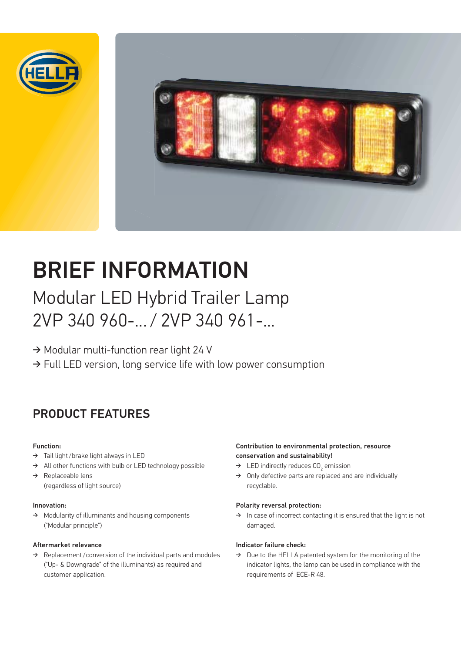



# BRIEF INFORMATION

## Modular LED Hybrid Trailer Lamp 2VP 340 960-... / 2VP 340 961-...

 $\rightarrow$  Modular multi-function rear light 24 V

 $\rightarrow$  Full LED version, long service life with low power consumption

### PRODUCT FEATURES

#### Function:

- → Tail light /brake light always in LED
- $\rightarrow$ All other functions with bulb or LED technology possible
- $\rightarrow$  Replaceable lens (regardless of light source)

#### Innovation:

 $\rightarrow$  Modularity of illuminants and housing components ("Modular principle")

#### Aftermarket relevance

 $\rightarrow$  Replacement/conversion of the individual parts and modules ("Up- & Downgrade" of the illuminants) as required and customer application.

#### Contribution to environmental protection, resource conservation and sustainability!

- $\rightarrow$  LED indirectly reduces CO<sub>2</sub> emission
- $\rightarrow$  Only defective parts are replaced and are individually recyclable.

#### Polarity reversal protection:

 $\rightarrow$  In case of incorrect contacting it is ensured that the light is not damaged.

#### Indicator failure check:

 $\rightarrow$  Due to the HELLA patented system for the monitoring of the indicator lights, the lamp can be used in compliance with the requirements of ECE-R 48.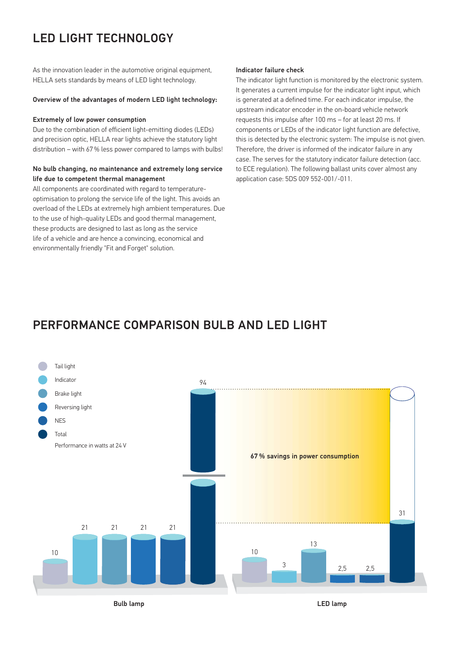### LED LIGHT TECHNOLOGY

As the innovation leader in the automotive original equipment, HELLA sets standards by means of LED light technology.

#### Overview of the advantages of modern LED light technology:

#### Extremely of low power consumption

Due to the combination of efficient light-emitting diodes (LEDs) and precision optic, HELLA rear lights achieve the statutory light distribution – with 67 % less power compared to lamps with bulbs!

#### No bulb changing, no maintenance and extremely long service life due to competent thermal management

All components are coordinated with regard to temperatureoptimisation to prolong the service life of the light. This avoids an overload of the LEDs at extremely high ambient temperatures. Due to the use of high-quality LEDs and good thermal management, these products are designed to last as long as the service life of a vehicle and are hence a convincing, economical and environmentally friendly "Fit and Forget" solution.

#### Indicator failure check

The indicator light function is monitored by the electronic system. It generates a current impulse for the indicator light input, which is generated at a defined time. For each indicator impulse, the upstream indicator encoder in the on-board vehicle network requests this impulse after 100 ms – for at least 20 ms. If components or LEDs of the indicator light function are defective, this is detected by the electronic system: The impulse is not given. Therefore, the driver is informed of the indicator failure in any case. The serves for the statutory indicator failure detection (acc. to ECE regulation). The following ballast units cover almost any application case: 5DS 009 552-001/-011.

### PERFORMANCE COMPARISON BULB AND LED LIGHT

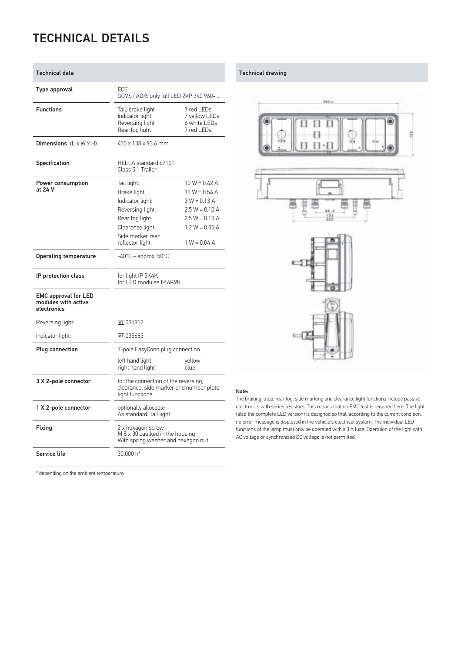### TECHNICAL DETAILS

| <b>Technical data</b>                                             |                                                                                                                                                    |                                                                                                                                    |  |  |  |  |
|-------------------------------------------------------------------|----------------------------------------------------------------------------------------------------------------------------------------------------|------------------------------------------------------------------------------------------------------------------------------------|--|--|--|--|
| Type approval                                                     | ECE<br>GGVS / ADR: only full LED 2VP 340 960-                                                                                                      |                                                                                                                                    |  |  |  |  |
| <b>Functions</b>                                                  | Tail, brake light<br>Indicator light<br>Reversing light<br>Rear fog light                                                                          | 7 red LEDs<br>7 yellow LEDs<br>6 white LEDs<br>7 red I FDs                                                                         |  |  |  |  |
| Dimensions $(L \times W \times H)$                                | 450 x 138 x 93.6 mm                                                                                                                                |                                                                                                                                    |  |  |  |  |
| Specification                                                     | HELLA standard 67101<br>Class 5.1 Trailer                                                                                                          |                                                                                                                                    |  |  |  |  |
| Power consumption<br>at 24 V                                      | Tail light:<br>Brake light:<br>Indicator light:<br>Reversing light:<br>Rear fog light:<br>Clearance light:<br>Side marker rear<br>reflector light: | $10 W = 0.42 A$<br>$13 W = 0.54 A$<br>$3 W = 0.13 A$<br>$2.5 W = 0.10 A$<br>$2.5 W = 0.10 A$<br>$1.2 W = 0.05 A$<br>$1 W = 0.04 A$ |  |  |  |  |
| <b>Operating temperature</b>                                      | $-40^{\circ}$ C – approx. 50 $^{\circ}$ C                                                                                                          |                                                                                                                                    |  |  |  |  |
| IP protection class                                               | for light IP 5K4K<br>for LED modules IP 6K9K                                                                                                       |                                                                                                                                    |  |  |  |  |
| <b>EMC approval for LED</b><br>modules with active<br>electronics |                                                                                                                                                    |                                                                                                                                    |  |  |  |  |
| Reversing light:                                                  | e1035912                                                                                                                                           |                                                                                                                                    |  |  |  |  |
| Indicator light:                                                  | $-1035683$                                                                                                                                         |                                                                                                                                    |  |  |  |  |
| <b>Plug connection</b>                                            | 7-pole EasyConn plug connection                                                                                                                    |                                                                                                                                    |  |  |  |  |
|                                                                   | left hand light<br>right hand light                                                                                                                | yellow<br>blue                                                                                                                     |  |  |  |  |
| 3 X 2-pole connector                                              | for the connection of the reversing,<br>clearance, side marker and number plate<br>light functions                                                 |                                                                                                                                    |  |  |  |  |
| 1 X 2-pole connector                                              | optionally allocable<br>As standard: Tail light                                                                                                    |                                                                                                                                    |  |  |  |  |
| Fixing                                                            | 2 x hexagon screw<br>M 8 x 30 caulked in the housing<br>With spring washer and hexagon nut                                                         |                                                                                                                                    |  |  |  |  |
| Service life                                                      | 30.000 h*                                                                                                                                          |                                                                                                                                    |  |  |  |  |

#### Technical drawing



#### Note:

The braking, stop, rear fog, side marking and clearance light functions include passive electronics with series resistors. This means that no EMC test is required here. The light (also the complete LED version) is designed so that, according to the current condition, no error message is displayed in the vehicle's electrical system. The individual LED functions of the lamp must only be operated with a 3 A fuse. Operation of the light with AC voltage or synchronised DC voltage is not permitted.

\* depending on the ambient temperature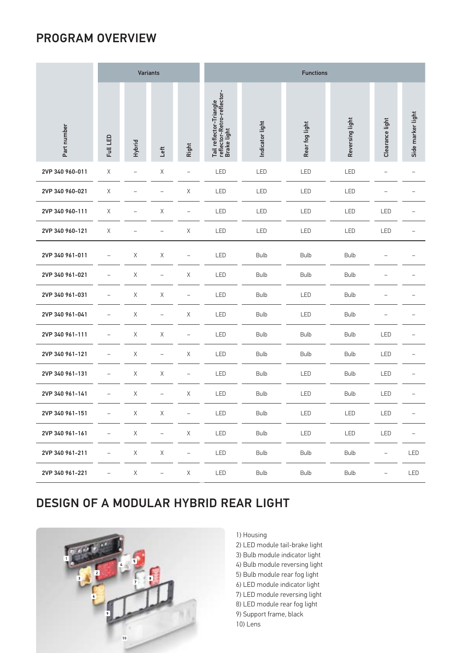### PROGRAM OVERVIEW

|                 |                   | <b>Variants</b> |                          |                          | <b>Functions</b>                                                     |                 |                |                 |                 |                   |  |
|-----------------|-------------------|-----------------|--------------------------|--------------------------|----------------------------------------------------------------------|-----------------|----------------|-----------------|-----------------|-------------------|--|
| Part number     | Full LED          | <b>Hybrid</b>   | Left                     | Right                    | Tail reflector-Triangle<br>reflector-Retro-reflector-<br>Brake light | Indicator light | Rear fog light | Reversing light | Clearance light | Side marker light |  |
| 2VP 340 960-011 | X                 |                 | Χ                        |                          | LED                                                                  | LED             | LED            | LED             |                 |                   |  |
| 2VP 340 960-021 | X                 |                 |                          | X                        | LED                                                                  | LED             | LED            | LED             |                 |                   |  |
| 2VP 340 960-111 | X                 |                 | $\mathsf X$              |                          | LED                                                                  | LED             | LED            | LED             | LED             |                   |  |
| 2VP 340 960-121 | X                 |                 | -                        | Χ                        | LED                                                                  | LED             | LED            | LED             | LED             |                   |  |
| 2VP 340 961-011 | $\qquad \qquad -$ | X               | $\mathsf X$              |                          | LED                                                                  | <b>Bulb</b>     | <b>Bulb</b>    | <b>Bulb</b>     |                 |                   |  |
| 2VP 340 961-021 |                   | $\mathsf X$     | $\overline{\phantom{0}}$ | $\mathsf X$              | LED                                                                  | <b>Bulb</b>     | <b>Bulb</b>    | <b>Bulb</b>     |                 |                   |  |
| 2VP 340 961-031 |                   | $\mathsf X$     | $\mathsf X$              |                          | LED                                                                  | <b>Bulb</b>     | LED            | <b>Bulb</b>     |                 |                   |  |
| 2VP 340 961-041 |                   | $\mathsf X$     | $\qquad \qquad -$        | $\mathsf X$              | LED                                                                  | <b>Bulb</b>     | LED            | <b>Bulb</b>     |                 |                   |  |
| 2VP 340 961-111 |                   | Χ               | $\mathsf X$              | $\overline{\phantom{0}}$ | LED                                                                  | <b>Bulb</b>     | <b>Bulb</b>    | <b>Bulb</b>     | LED             |                   |  |
| 2VP 340 961-121 |                   | $\mathsf{X}$    | $\overline{\phantom{0}}$ | $\times$                 | LED                                                                  | <b>Bulb</b>     | <b>Bulb</b>    | <b>Bulb</b>     | LED             |                   |  |
| 2VP 340 961-131 |                   | Χ               | $\mathsf X$              |                          | LED                                                                  | <b>Bulb</b>     | LED            | <b>Bulb</b>     | LED             |                   |  |
| 2VP 340 961-141 |                   | $\mathsf X$     | $\qquad \qquad -$        | $\mathsf X$              | LED                                                                  | <b>Bulb</b>     | LED            | <b>Bulb</b>     | LED             |                   |  |
| 2VP 340 961-151 | -                 | $\mathsf X$     | Χ                        | $\overline{\phantom{0}}$ | LED                                                                  | <b>Bulb</b>     | LED            | LED             | LED             | -                 |  |
| 2VP 340 961-161 |                   | $\mathsf X$     | $\qquad \qquad -$        | $\mathsf X$              | LED                                                                  | <b>Bulb</b>     | LED            | LED             | LED             |                   |  |
| 2VP 340 961-211 |                   | $\mathsf X$     | $\mathsf X$              | $\overline{\phantom{0}}$ | LED                                                                  | <b>Bulb</b>     | <b>Bulb</b>    | <b>Bulb</b>     | $\overline{a}$  | LED               |  |
| 2VP 340 961-221 |                   | $\mathsf X$     | $\bar{ }$                | $\mathsf X$              | LED                                                                  | <b>Bulb</b>     | <b>Bulb</b>    | <b>Bulb</b>     |                 | LED               |  |

### DESIGN OF A MODULAR HYBRID REAR LIGHT



#### 1) Housing

2) LED module tail-brake light 3) Bulb module indicator light 4) Bulb module reversing light 5) Bulb module rear fog light 6) LED module indicator light 7) LED module reversing light 8) LED module rear fog light 9) Support frame, black 10) Lens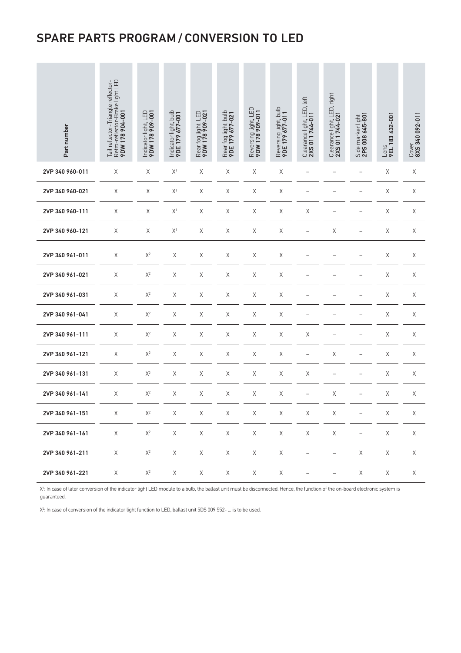### SPARE PARTS PROGRAM / CONVERSION TO LED

| Part number     | Tail reflector-Triangle reflector-<br>Retro-reflector-Brake light LED<br><b>9DW 178 904-001</b> | Indicator light, LED<br>9DW 178 909-001 | Indicator light, bulb<br>9DE 179 677-001 | Rear fog light, LED<br>9DW 178 909-021 | Rear fog light, bulb<br>9DE 179 677-021 | Reversing light, LED<br>9DW 178 909-011 | Reversing light, bulb<br>9DE 179 677-011 | Clearance light, LED, left<br>2XS 011 744-011 | Clearance light, LED, right<br>2XS 011 744-021 | Side marker light<br>2PS 008 645-801 | Lens<br><b>9EL 183 432-001</b> | Cover<br>8XS 340 092-011 |
|-----------------|-------------------------------------------------------------------------------------------------|-----------------------------------------|------------------------------------------|----------------------------------------|-----------------------------------------|-----------------------------------------|------------------------------------------|-----------------------------------------------|------------------------------------------------|--------------------------------------|--------------------------------|--------------------------|
| 2VP 340 960-011 | $\mathsf X$                                                                                     | $\mathsf X$                             | $\mathsf{X}^1$                           | $\mathsf X$                            | $\mathsf X$                             | $\mathsf X$                             | $\mathsf X$                              | $\qquad \qquad -$                             | $\qquad \qquad -$                              | $\overline{\phantom{0}}$             | $\mathsf X$                    | $\mathsf X$              |
| 2VP 340 960-021 | Χ                                                                                               | X                                       | $\mathsf{X}^1$                           | $\mathsf X$                            | Χ                                       | $\mathsf X$                             | Χ                                        | $\qquad \qquad -$                             |                                                |                                      | $\mathsf X$                    | $\mathsf X$              |
| 2VP 340 960-111 | Χ                                                                                               | Χ                                       | $\mathsf{X}^1$                           | $\mathsf X$                            | Χ                                       | Χ                                       | Χ                                        | Χ                                             | $\overline{\phantom{0}}$                       |                                      | Χ                              | Χ                        |
| 2VP 340 960-121 | X                                                                                               | $\mathsf X$                             | $X^1$                                    | X                                      | Χ                                       | Χ                                       | Χ                                        | $\qquad \qquad -$                             | Χ                                              | $\overline{\phantom{0}}$             | Χ                              | Χ                        |
| 2VP 340 961-011 | X                                                                                               | $\mathsf{X}^2$                          | Χ                                        | X                                      | Χ                                       | Χ                                       | Χ                                        |                                               |                                                |                                      | $\mathsf X$                    | Χ                        |
| 2VP 340 961-021 | Χ                                                                                               | $\mathsf{X}^2$                          | Χ                                        | $\mathsf X$                            | Χ                                       | Χ                                       | Χ                                        | $\qquad \qquad -$                             |                                                | $\overline{\phantom{0}}$             | Χ                              | $\mathsf X$              |
| 2VP 340 961-031 | Χ                                                                                               | $\mathsf{X}^2$                          | Χ                                        | $\mathsf X$                            | Χ                                       | Χ                                       | Χ                                        | $\qquad \qquad -$                             |                                                | $\overline{\phantom{0}}$             | Χ                              | Χ                        |
| 2VP 340 961-041 | X                                                                                               | $\mathsf{X}^2$                          | $\mathsf X$                              | $\mathsf X$                            | Χ                                       | $\mathsf X$                             | Χ                                        |                                               |                                                |                                      | $\mathsf X$                    | Χ                        |
| 2VP 340 961-111 | X                                                                                               | $\mathsf{X}^2$                          | Χ                                        | $\mathsf X$                            | Χ                                       | $\mathsf X$                             | X                                        | Χ                                             |                                                |                                      | $\mathsf X$                    | Χ                        |
| 2VP 340 961-121 | Χ                                                                                               | $\mathsf{X}^2$                          | Χ                                        | $\mathsf X$                            | $\mathsf X$                             | $\mathsf X$                             | Χ                                        | $\overline{\phantom{0}}$                      | $\mathsf X$                                    |                                      | $\mathsf X$                    | $\mathsf X$              |
| 2VP 340 961-131 | $\mathsf X$                                                                                     | $\mathsf{X}^2$                          | $\mathsf X$                              | $\mathsf X$                            | Χ                                       | $\mathsf X$                             | $\mathsf X$                              | $\mathsf X$                                   | $\qquad \qquad -$                              |                                      | $\mathsf X$                    | $\mathsf X$              |
| 2VP 340 961-141 | Χ                                                                                               | $\mathsf{X}^2$                          | Χ                                        | $\mathsf X$                            | Χ                                       | $\mathsf X$                             | Χ                                        | $\qquad \qquad -$                             | $\mathsf X$                                    | $\qquad \qquad -$                    | Χ                              | Χ                        |
| 2VP 340 961-151 | $\mathsf X$                                                                                     | $\mathsf{X}^2$                          | $\mathsf X$                              | $\mathsf X$                            | $\mathsf X$                             | $\mathsf X$                             | $\mathsf X$                              | $\mathsf X$                                   | $\mathsf X$                                    |                                      | $\mathsf X$                    | $\mathsf X$              |
| 2VP 340 961-161 | $\mathsf X$                                                                                     | $\mathsf{X}^2$                          | $\mathsf X$                              | $\mathsf X$                            | $\mathsf X$                             | $\mathsf X$                             | $\mathsf X$                              | $\mathsf X$                                   | $\mathsf X$                                    | $\overline{\phantom{0}}$             | $\mathsf X$                    | $\mathsf X$              |
| 2VP 340 961-211 | $\mathsf X$                                                                                     | $\mathsf{X}^2$                          | $\mathsf X$                              | $\mathsf X$                            | $\mathsf X$                             | $\mathsf X$                             | $\mathsf X$                              | $\qquad \qquad -$                             | $\equiv$                                       | $\mathsf X$                          | $\mathsf X$                    | $\mathsf X$              |
| 2VP 340 961-221 | $\mathsf X$                                                                                     | $\mathsf{X}^2$                          | $\mathsf X$                              | X                                      | $\mathsf X$                             | $\mathsf X$                             | $\mathsf X$                              |                                               | $\overline{\phantom{0}}$                       | $\mathsf X$                          | $\mathsf X$                    | $\times$                 |

X1 : In case of later conversion of the indicator light LED module to a bulb, the ballast unit must be disconnected. Hence, the function of the on-board electronic system is guaranteed.

X<sup>2</sup>: In case of conversion of the indicator light function to LED, ballast unit 5DS 009 552- ... is to be used.